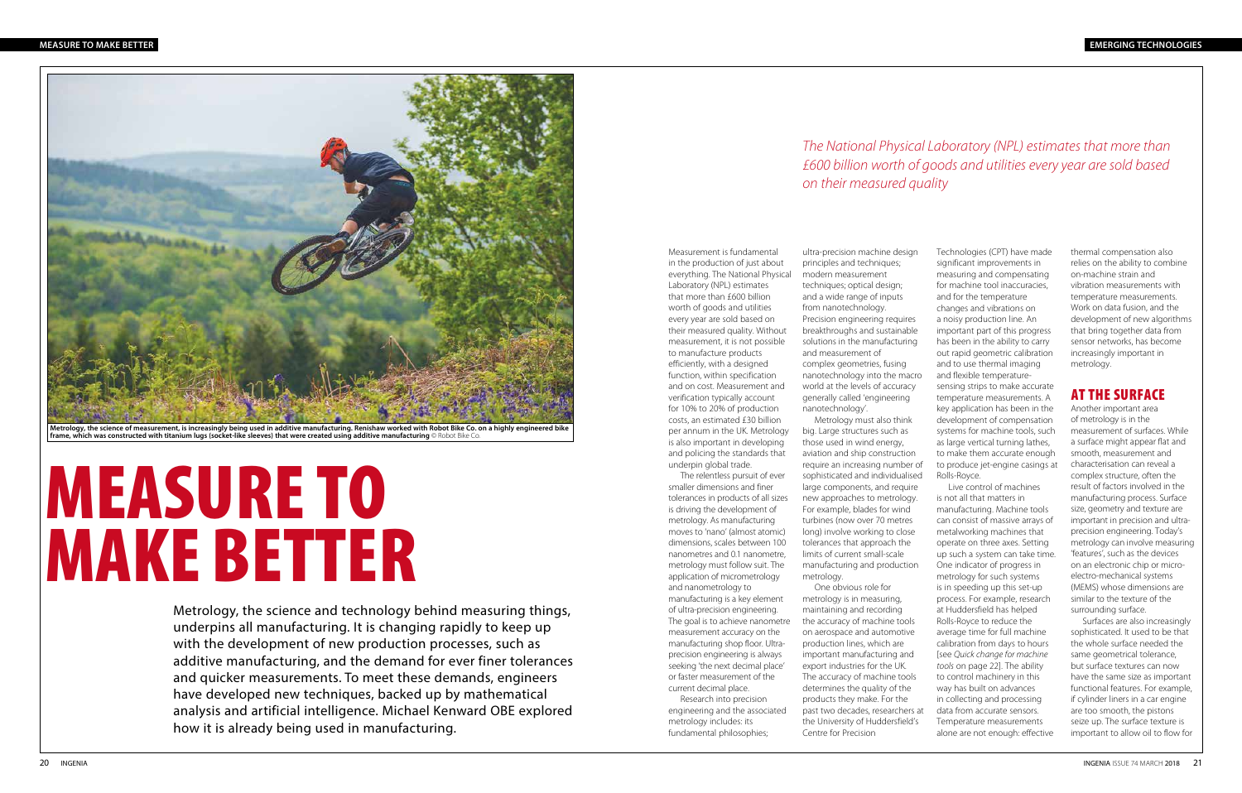Measurement is fundamental in the production of just about everything. The National Physical Laboratory (NPL) estimates that more than £600 billion worth of goods and utilities every year are sold based on their measured quality. Without measurement, it is not possible to manufacture products efficiently, with a designed function, within specification and on cost. Measurement and verification typically account for 10% to 20% of production costs, an estimated £30 billion per annum in the UK. Metrology is also important in developing and policing the standards that underpin global trade.

The relentless pursuit of ever smaller dimensions and finer tolerances in products of all sizes is driving the development of metrology. As manufacturing moves to 'nano' (almost atomic) dimensions, scales between 100 nanometres and 0.1 nanometre, metrology must follow suit. The application of micrometrology and nanometrology to manufacturing is a key element of ultra-precision engineering. The goal is to achieve nanometre measurement accuracy on the manufacturing shop floor. Ultraprecision engineering is always seeking 'the next decimal place' or faster measurement of the current decimal place. Research into precision

engineering and the associated metrology includes: its fundamental philosophies;

ultra-precision machine design principles and techniques; modern measurement techniques; optical design; and a wide range of inputs from nanotechnology. Precision engineering requires breakthroughs and sustainable solutions in the manufacturing and measurement of complex geometries, fusing nanotechnology into the macro world at the levels of accuracy generally called 'engineering nanotechnology'. Metrology must also think

big. Large structures such as those used in wind energy, aviation and ship construction require an increasing number of sophisticated and individualised large components, and require new approaches to metrology. For example, blades for wind turbines (now over 70 metres long) involve working to close tolerances that approach the limits of current small-scale manufacturing and production

metrology.

One obvious role for metrology is in measuring, maintaining and recording the accuracy of machine tools on aerospace and automotive production lines, which are important manufacturing and export industries for the UK. The accuracy of machine tools determines the quality of the products they make. For the past two decades, researchers at the University of Huddersfield's Centre for Precision

thermal compensation also relies on the ability to combine on-machine strain and vibration measurements with temperature measurements. Work on data fusion, and the development of new algorithms that bring together data from sensor networks, has become increasingly important in metrology.

## AT THE SURFACE

Another important area of metrology is in the measurement of surfaces. While a surface might appear flat and smooth, measurement and characterisation can reveal a complex structure, often the result of factors involved in the manufacturing process. Surface size, geometry and texture are important in precision and ultraprecision engineering. Today's metrology can involve measuring 'features', such as the devices on an electronic chip or microelectro-mechanical systems (MEMS) whose dimensions are similar to the texture of the surrounding surface.

Surfaces are also increasingly sophisticated. It used to be that the whole surface needed the same geometrical tolerance, but surface textures can now have the same size as important functional features. For example, if cylinder liners in a car engine are too smooth, the pistons seize up. The surface texture is important to allow oil to flow for

Technologies (CPT) have made significant improvements in measuring and compensating for machine tool inaccuracies, and for the temperature changes and vibrations on a noisy production line. An important part of this progress has been in the ability to carry out rapid geometric calibration and to use thermal imaging and flexible temperaturesensing strips to make accurate temperature measurements. A key application has been in the development of compensation systems for machine tools, such as large vertical turning lathes, to make them accurate enough to produce jet-engine casings at Rolls-Royce.

Live control of machines is not all that matters in manufacturing. Machine tools can consist of massive arrays of metalworking machines that operate on three axes. Setting up such a system can take time. One indicator of progress in metrology for such systems is in speeding up this set-up process. For example, research at Huddersfield has helped Rolls-Royce to reduce the average time for full machine calibration from days to hours [see *Quick change for machine tools* on page 22]. The ability to control machinery in this way has built on advances in collecting and processing data from accurate sensors. Temperature measurements alone are not enough: effective

## *The National Physical Laboratory (NPL) estimates that more than £600 billion worth of goods and utilities every year are sold based on their measured quality*

# MEASURE TO MAKE BETTER

Metrology, the science and technology behind measuring things, underpins all manufacturing. It is changing rapidly to keep up with the development of new production processes, such as additive manufacturing, and the demand for ever finer tolerances and quicker measurements. To meet these demands, engineers have developed new techniques, backed up by mathematical analysis and artificial intelligence. Michael Kenward OBE explored how it is already being used in manufacturing.



**Metrology, the science of measurement, is increasingly being used in additive manufacturing. Renishaw worked with Robot Bike Co. on a highly engineered bike frame, which was constructed with titanium lugs (socket-like sleeves) that were created using additive manufacturing** © Robot Bike Co.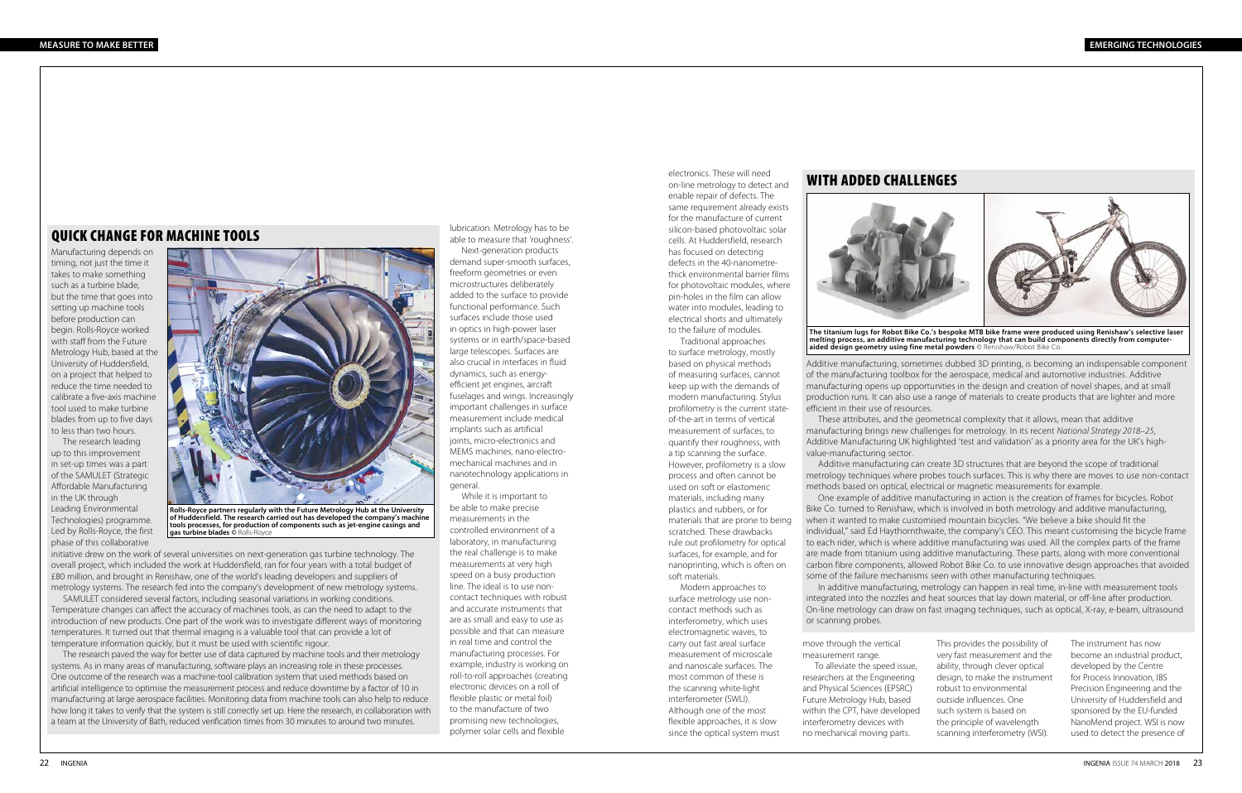electronics. These will need

#### on-line metrology to detect and enable repair of defects. The same requirement already exists for the manufacture of current silicon-based photovoltaic solar cells. At Huddersfield, research has focused on detecting defects in the 40-nanometrethick environmental barrier films for photovoltaic modules, where pin-holes in the film can allow water into modules, leading to electrical shorts and ultimately to the failure of modules.

Traditional approaches to surface metrology, mostly based on physical methods of measuring surfaces, cannot keep up with the demands of modern manufacturing. Stylus profilometry is the current stateof-the-art in terms of vertical measurement of surfaces, to quantify their roughness, with a tip scanning the surface. However, profilometry is a slow process and often cannot be used on soft or elastomeric materials, including many plastics and rubbers, or for materials that are prone to being scratched. These drawbacks rule out profilometry for optical surfaces, for example, and for nanoprinting, which is often on soft materials.

Modern approaches to surface metrology use noncontact methods such as interferometry, which uses electromagnetic waves, to carry out fast areal surface measurement of microscale and nanoscale surfaces. The most common of these is the scanning white-light interferometer (SWLI). Although one of the most flexible approaches, it is slow since the optical system must

### WITH ADDED CHALLENGES



**The titanium lugs for Robot Bike Co.'s bespoke MTB bike frame were produced using Renishaw's selective laser melting process, an additive manufacturing technology that can build components directly from computeraided design geometry using fine metal powders** © Renishaw/Robot Bike Co.

Additive manufacturing, sometimes dubbed 3D printing, is becoming an indispensable component of the manufacturing toolbox for the aerospace, medical and automotive industries. Additive manufacturing opens up opportunities in the design and creation of novel shapes, and at small production runs. It can also use a range of materials to create products that are lighter and more efficient in their use of resources. These attributes, and the geometrical complexity that it allows, mean that additive

manufacturing brings new challenges for metrology. In its recent *National Strategy 2018–25*, Additive Manufacturing UK highlighted 'test and validation' as a priority area for the UK's highvalue-manufacturing sector.

Additive manufacturing can create 3D structures that are beyond the scope of traditional metrology techniques where probes touch surfaces. This is why there are moves to use non-contact methods based on optical, electrical or magnetic measurements for example.

One example of additive manufacturing in action is the creation of frames for bicycles. Robot Bike Co. turned to Renishaw, which is involved in both metrology and additive manufacturing, when it wanted to make customised mountain bicycles. "We believe a bike should fit the individual," said Ed Haythornthwaite, the company's CEO. This meant customising the bicycle frame to each rider, which is where additive manufacturing was used. All the complex parts of the frame are made from titanium using additive manufacturing. These parts, along with more conventional carbon fibre components, allowed Robot Bike Co. to use innovative design approaches that avoided some of the failure mechanisms seen with other manufacturing techniques.

In additive manufacturing, metrology can happen in real time, in-line with measurement tools integrated into the nozzles and heat sources that lay down material, or off-line after production. On-line metrology can draw on fast imaging techniques, such as optical, X-ray, e-beam, ultrasound or scanning probes.

To alleviate the speed issue,

move through the vertical measurement range. researchers at the Engineering and Physical Sciences (EPSRC) Future Metrology Hub, based within the CPT, have developed interferometry devices with no mechanical moving parts.

This provides the possibility of very fast measurement and the ability, through clever optical design, to make the instrument robust to environmental outside influences. One such system is based on the principle of wavelength scanning interferometry (WSI).

The instrument has now become an industrial product, developed by the Centre for Process Innovation, IBS Precision Engineering and the University of Huddersfield and sponsored by the EU-funded NanoMend project. WSI is now used to detect the presence of

lubrication. Metrology has to be able to measure that 'roughness'.

Next-generation products demand super-smooth surfaces, freeform geometries or even microstructures deliberately added to the surface to provide functional performance. Such surfaces include those used in optics in high-power laser systems or in earth/space-based large telescopes. Surfaces are also crucial in interfaces in fluid dynamics, such as energyefficient jet engines, aircraft fuselages and wings. Increasingly important challenges in surface measurement include medical implants such as artificial joints, micro-electronics and MEMS machines, nano-electromechanical machines and in nanotechnology applications in general.

While it is important to be able to make precise measurements in the controlled environment of a laboratory, in manufacturing the real challenge is to make measurements at very high speed on a busy production line. The ideal is to use noncontact techniques with robust and accurate instruments that are as small and easy to use as possible and that can measure in real time and control the manufacturing processes. For example, industry is working on roll-to-roll approaches (creating electronic devices on a roll of flexible plastic or metal foil) to the manufacture of two promising new technologies, polymer solar cells and flexible

#### QUICK CHANGE FOR MACHINE TOOLS

Manufacturing depends on timing, not just the time it takes to make something such as a turbine blade, but the time that goes into setting up machine tools before production can begin. Rolls-Royce worked with staff from the Future Metrology Hub, based at the University of Huddersfield, on a project that helped to reduce the time needed to calibrate a five-axis machine tool used to make turbine blades from up to five days to less than two hours.

The research leading up to this improvement in set-up times was a part of the SAMULET (Strategic Affordable Manufacturing in the UK through Leading Environmental Technologies) programme. Led by Rolls-Royce, the first phase of this collaborative

initiative drew on the work of several universities on next-generation gas turbine technology. The overall project, which included the work at Huddersfield, ran for four years with a total budget of £80 million, and brought in Renishaw, one of the world's leading developers and suppliers of metrology systems. The research fed into the company's development of new metrology systems.

SAMULET considered several factors, including seasonal variations in working conditions. Temperature changes can affect the accuracy of machines tools, as can the need to adapt to the introduction of new products. One part of the work was to investigate different ways of monitoring temperatures. It turned out that thermal imaging is a valuable tool that can provide a lot of temperature information quickly, but it must be used with scientific rigour.

The research paved the way for better use of data captured by machine tools and their metrology systems. As in many areas of manufacturing, software plays an increasing role in these processes. One outcome of the research was a machine-tool calibration system that used methods based on artificial intelligence to optimise the measurement process and reduce downtime by a factor of 10 in manufacturing at large aerospace facilities. Monitoring data from machine tools can also help to reduce how long it takes to verify that the system is still correctly set up. Here the research, in collaboration with a team at the University of Bath, reduced verification times from 30 minutes to around two minutes.



**Rolls-Royce partners regularly with the Future Metrology Hub at the University of Huddersfield. The research carried out has developed the company's machine tools processes, for production of components such as jet-engine casings and gas turbine blades ©** Rolls-Royce